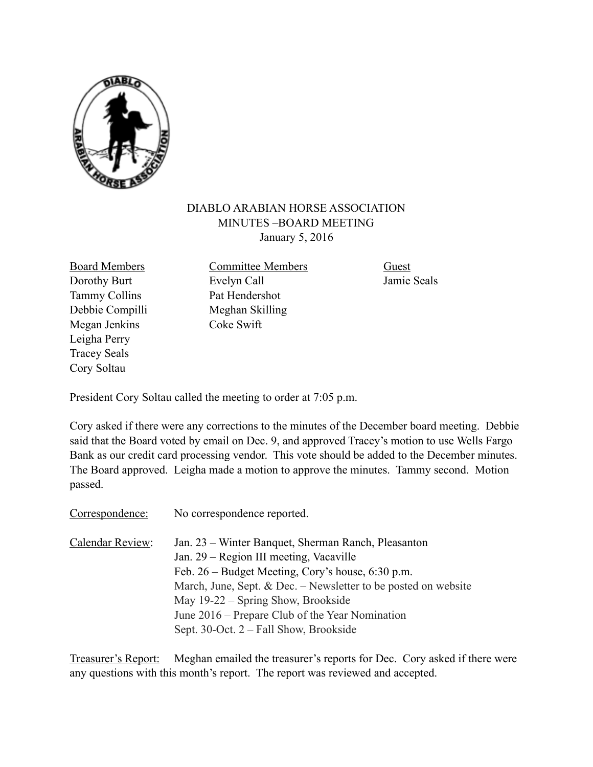

## DIABLO ARABIAN HORSE ASSOCIATION MINUTES –BOARD MEETING January 5, 2016

Tammy Collins Pat Hendershot Megan Jenkins Coke Swift Leigha Perry Tracey Seals Cory Soltau

Board Members Committee Members Guest Dorothy Burt Evelyn Call Jamie Seals Debbie Compilli Meghan Skilling

President Cory Soltau called the meeting to order at 7:05 p.m.

Cory asked if there were any corrections to the minutes of the December board meeting. Debbie said that the Board voted by email on Dec. 9, and approved Tracey's motion to use Wells Fargo Bank as our credit card processing vendor. This vote should be added to the December minutes. The Board approved. Leigha made a motion to approve the minutes. Tammy second. Motion passed.

Correspondence: No correspondence reported.

| Calendar Review: | Jan. 23 – Winter Banquet, Sherman Ranch, Pleasanton              |
|------------------|------------------------------------------------------------------|
|                  | Jan. 29 – Region III meeting, Vacaville                          |
|                  | Feb. $26$ – Budget Meeting, Cory's house, 6:30 p.m.              |
|                  | March, June, Sept. $&$ Dec. – Newsletter to be posted on website |
|                  | May 19-22 – Spring Show, Brookside                               |
|                  | June 2016 – Prepare Club of the Year Nomination                  |
|                  | Sept. 30-Oct. 2 – Fall Show, Brookside                           |

Treasurer's Report: Meghan emailed the treasurer's reports for Dec. Cory asked if there were any questions with this month's report. The report was reviewed and accepted.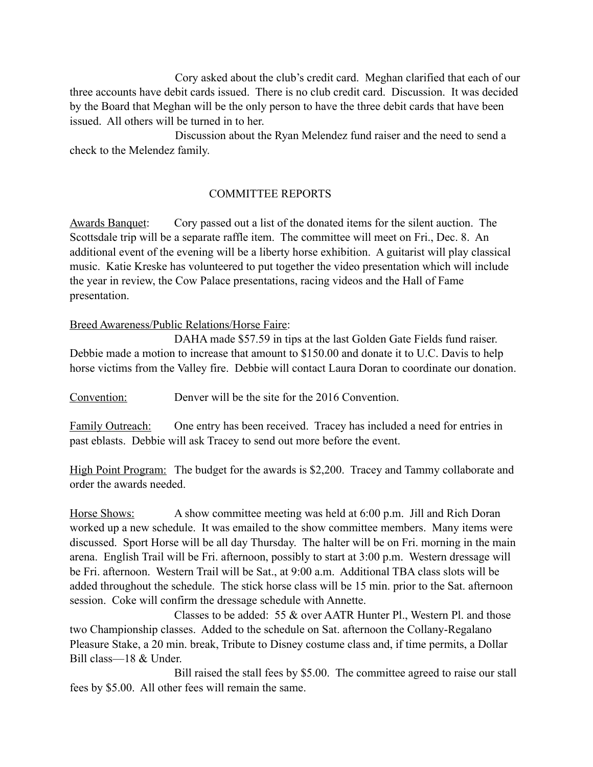Cory asked about the club's credit card. Meghan clarified that each of our three accounts have debit cards issued. There is no club credit card. Discussion. It was decided by the Board that Meghan will be the only person to have the three debit cards that have been issued. All others will be turned in to her.

 Discussion about the Ryan Melendez fund raiser and the need to send a check to the Melendez family.

## COMMITTEE REPORTS

Awards Banquet: Cory passed out a list of the donated items for the silent auction. The Scottsdale trip will be a separate raffle item. The committee will meet on Fri., Dec. 8. An additional event of the evening will be a liberty horse exhibition. A guitarist will play classical music. Katie Kreske has volunteered to put together the video presentation which will include the year in review, the Cow Palace presentations, racing videos and the Hall of Fame presentation.

## Breed Awareness/Public Relations/Horse Faire:

 DAHA made \$57.59 in tips at the last Golden Gate Fields fund raiser. Debbie made a motion to increase that amount to \$150.00 and donate it to U.C. Davis to help horse victims from the Valley fire. Debbie will contact Laura Doran to coordinate our donation.

Convention: Denver will be the site for the 2016 Convention.

Family Outreach: One entry has been received. Tracey has included a need for entries in past eblasts. Debbie will ask Tracey to send out more before the event.

High Point Program: The budget for the awards is \$2,200. Tracey and Tammy collaborate and order the awards needed.

Horse Shows: A show committee meeting was held at 6:00 p.m. Jill and Rich Doran worked up a new schedule. It was emailed to the show committee members. Many items were discussed. Sport Horse will be all day Thursday. The halter will be on Fri. morning in the main arena. English Trail will be Fri. afternoon, possibly to start at 3:00 p.m. Western dressage will be Fri. afternoon. Western Trail will be Sat., at 9:00 a.m. Additional TBA class slots will be added throughout the schedule. The stick horse class will be 15 min. prior to the Sat. afternoon session. Coke will confirm the dressage schedule with Annette.

 Classes to be added: 55 & over AATR Hunter Pl., Western Pl. and those two Championship classes. Added to the schedule on Sat. afternoon the Collany-Regalano Pleasure Stake, a 20 min. break, Tribute to Disney costume class and, if time permits, a Dollar Bill class—18 & Under.

 Bill raised the stall fees by \$5.00. The committee agreed to raise our stall fees by \$5.00. All other fees will remain the same.